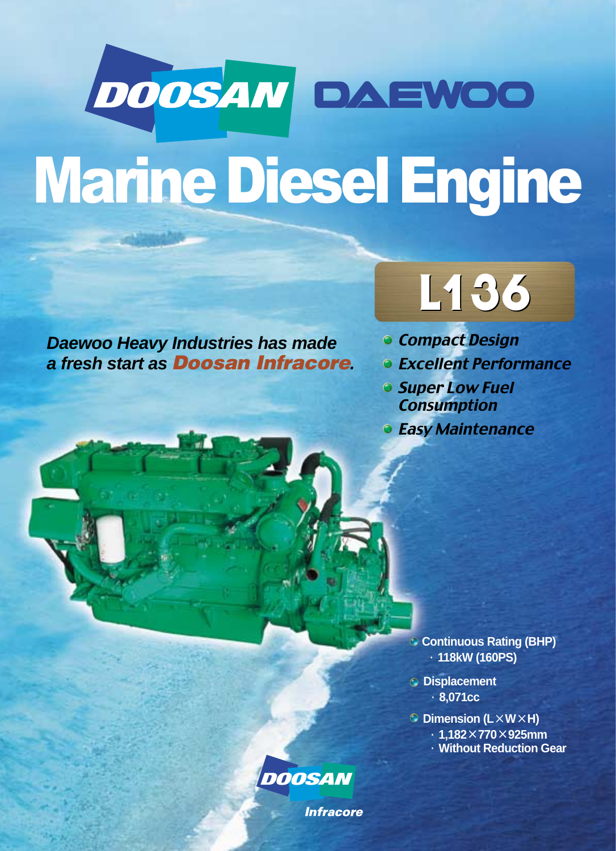# DOOSAN DAEWOO Marine Diesel Engine

**Daewoo Heavy Industries has made a fresh start as Doosan Infracore.**



- **Compact Design**
- **Excellent Performance**
- **Super Low Fuel Consumption**
- **Easy Maintenance**

**Continuous Rating (BHP)** ·**118kW (160PS)** 

**Displacement** ·**8,071cc**

**Dimension (L×W×H)**  ·**1,182×770×925mm** ·**Without Reduction Gear**



**Infracore**